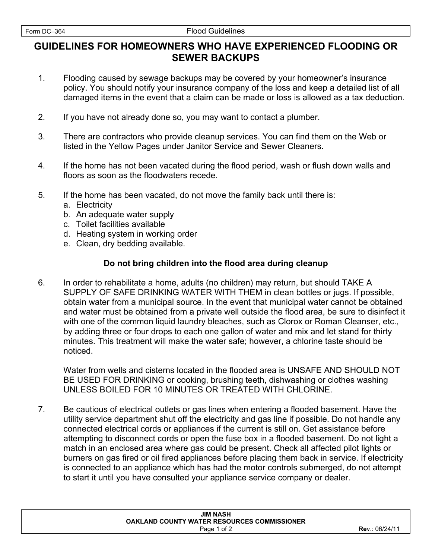## **GUIDELINES FOR HOMEOWNERS WHO HAVE EXPERIENCED FLOODING OR SEWER BACKUPS**

- 1. Flooding caused by sewage backups may be covered by your homeowner's insurance policy. You should notify your insurance company of the loss and keep a detailed list of all damaged items in the event that a claim can be made or loss is allowed as a tax deduction.
- 2. If you have not already done so, you may want to contact a plumber.
- 3. There are contractors who provide cleanup services. You can find them on the Web or listed in the Yellow Pages under Janitor Service and Sewer Cleaners.
- 4. If the home has not been vacated during the flood period, wash or flush down walls and floors as soon as the floodwaters recede.
- 5. If the home has been vacated, do not move the family back until there is:
	- a. Electricity
	- b. An adequate water supply
	- c. Toilet facilities available
	- d. Heating system in working order
	- e. Clean, dry bedding available.

## **Do not bring children into the flood area during cleanup**

6. In order to rehabilitate a home, adults (no children) may return, but should TAKE A SUPPLY OF SAFE DRINKING WATER WITH THEM in clean bottles or jugs. If possible, obtain water from a municipal source. In the event that municipal water cannot be obtained and water must be obtained from a private well outside the flood area, be sure to disinfect it with one of the common liquid laundry bleaches, such as Clorox or Roman Cleanser, etc., by adding three or four drops to each one gallon of water and mix and let stand for thirty minutes. This treatment will make the water safe; however, a chlorine taste should be noticed.

Water from wells and cisterns located in the flooded area is UNSAFE AND SHOULD NOT BE USED FOR DRINKING or cooking, brushing teeth, dishwashing or clothes washing UNLESS BOILED FOR 10 MINUTES OR TREATED WITH CHLORINE.

7. Be cautious of electrical outlets or gas lines when entering a flooded basement. Have the utility service department shut off the electricity and gas line if possible. Do not handle any connected electrical cords or appliances if the current is still on. Get assistance before attempting to disconnect cords or open the fuse box in a flooded basement. Do not light a match in an enclosed area where gas could be present. Check all affected pilot lights or burners on gas fired or oil fired appliances before placing them back in service. If electricity is connected to an appliance which has had the motor controls submerged, do not attempt to start it until you have consulted your appliance service company or dealer.

| <b>JIM NASH</b>                             |                |
|---------------------------------------------|----------------|
| OAKLAND COUNTY WATER RESOURCES COMMISSIONER |                |
| Page 1 of 2                                 | Rev.: 06/24/11 |
|                                             |                |